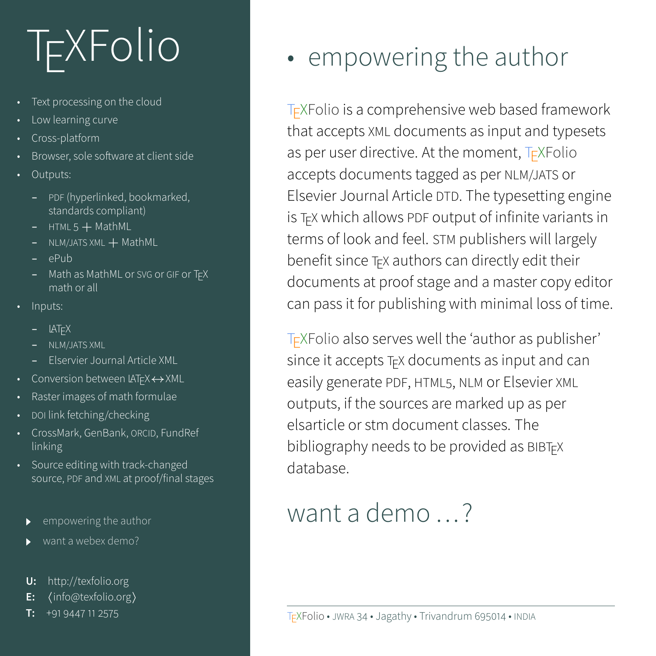## **T<sub>F</sub>XFolio**

- Text processing on the cloud
- Low learning curve
- Cross-platform
- Browser, sole software at client side
- Outputs:
	- **–** PDF (hyperlinked, bookmarked, standards compliant)
	- **–** HTML 5 + MathML
	- **–** NLM/JATS XML + MathML
	- **–** ePub
	- **–** Math as MathML or SVG or GIF or TEX math or all
- Inputs:
	- **–** LATEX
	-
	- **–** Elservier Journal Article XML
- Conversion between LATEX↔XML
- Raster images of math formulae
- DOI link fetching/checking
- CrossMark, GenBank, ORCID, FundRef linking
- Source editing with track-changed source, PDF and XML at proof/final stages
	-
	-
	- **U:** <http://texfolio.org>
	- **E:** ([info@texfolio.org](mailto:info@texfolio.org))
	- **T:** +91 9447 11 2575

## <span id="page-0-0"></span>• empowering the author

TEXFolio is a comprehensive web based framework that accepts XML documents as input and typesets as per user directive. At the moment, TEXFolio accepts documents tagged as per NLM/JATS or Elsevier Journal Article DTD. The typesetting engine is TEX which allows PDF output of infinite variants in terms of look and feel. STM publishers will largely benefit since TEX authors can directly edit their documents at proof stage and a master copy editor can pass it for publishing with minimal loss of time.

TEXFolio also serves well the 'author as publisher' since it accepts T<sub>E</sub>X documents as input and can easily generate PDF, HTML5, NLM or Elsevier XML outputs, if the sources are marked up as per elsarticle or stm document classes. The bibliography needs to be provided as BIBTEX database.

## [want a demo ...?](#page-1-0)